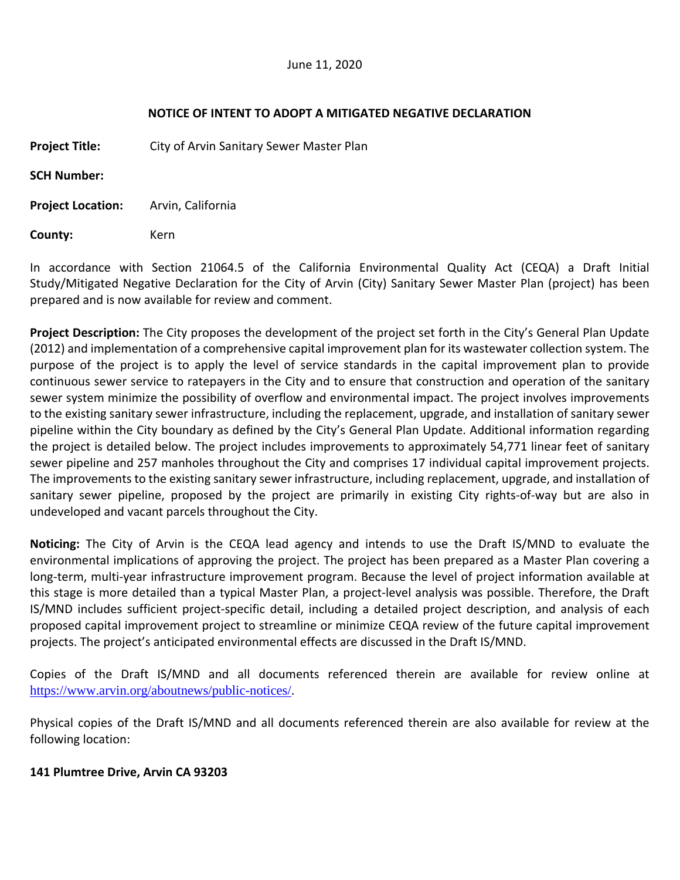## **NOTICE OF INTENT TO ADOPT A MITIGATED NEGATIVE DECLARATION**

**Project Title:** City of Arvin Sanitary Sewer Master Plan

**SCH Number:**

**Project Location:** Arvin, California

**County:** Kern

In accordance with Section 21064.5 of the California Environmental Quality Act (CEQA) a Draft Initial Study/Mitigated Negative Declaration for the City of Arvin (City) Sanitary Sewer Master Plan (project) has been prepared and is now available for review and comment.

**Project Description:** The City proposes the development of the project set forth in the City's General Plan Update (2012) and implementation of a comprehensive capital improvement plan for its wastewater collection system. The purpose of the project is to apply the level of service standards in the capital improvement plan to provide continuous sewer service to ratepayers in the City and to ensure that construction and operation of the sanitary sewer system minimize the possibility of overflow and environmental impact. The project involves improvements to the existing sanitary sewer infrastructure, including the replacement, upgrade, and installation of sanitary sewer pipeline within the City boundary as defined by the City's General Plan Update. Additional information regarding the project is detailed below. The project includes improvements to approximately 54,771 linear feet of sanitary sewer pipeline and 257 manholes throughout the City and comprises 17 individual capital improvement projects. The improvements to the existing sanitary sewer infrastructure, including replacement, upgrade, and installation of sanitary sewer pipeline, proposed by the project are primarily in existing City rights-of-way but are also in undeveloped and vacant parcels throughout the City.

**Noticing:** The City of Arvin is the CEQA lead agency and intends to use the Draft IS/MND to evaluate the environmental implications of approving the project. The project has been prepared as a Master Plan covering a long-term, multi-year infrastructure improvement program. Because the level of project information available at this stage is more detailed than a typical Master Plan, a project‐level analysis was possible. Therefore, the Draft IS/MND includes sufficient project‐specific detail, including a detailed project description, and analysis of each proposed capital improvement project to streamline or minimize CEQA review of the future capital improvement projects. The project's anticipated environmental effects are discussed in the Draft IS/MND.

Copies of the Draft IS/MND and all documents referenced therein are available for review online at https://www.arvin.org/aboutnews/public-notices/.

Physical copies of the Draft IS/MND and all documents referenced therein are also available for review at the following location:

## **141 Plumtree Drive, Arvin CA 93203**